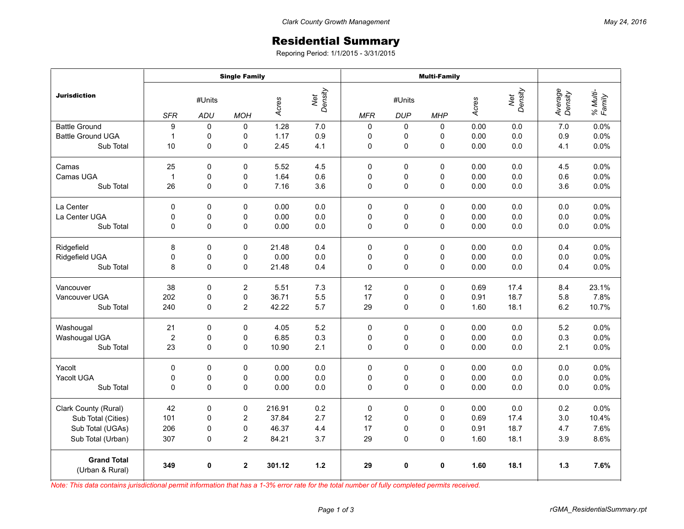## Residential Summary

Reporing Period: 1/1/2015 - 3/31/2015

|                                       | <b>Single Family</b>    |              |                         |        |                         | <b>Multi-Family</b> |             |             |       |                |                    |                    |
|---------------------------------------|-------------------------|--------------|-------------------------|--------|-------------------------|---------------------|-------------|-------------|-------|----------------|--------------------|--------------------|
| <b>Jurisdiction</b>                   | #Units                  |              |                         |        | Net<br>Density<br>Acres |                     | #Units      |             |       | Net<br>Density | Average<br>Density | % Multi-<br>Family |
|                                       | <b>SFR</b>              | ADU          | <b>MOH</b>              |        |                         | <b>MFR</b>          | <b>DUP</b>  | <b>MHP</b>  | Acres |                |                    |                    |
| <b>Battle Ground</b>                  | 9                       | $\Omega$     | $\mathbf 0$             | 1.28   | 7.0                     | $\mathbf 0$         | 0           | $\Omega$    | 0.00  | 0.0            | 7.0                | 0.0%               |
| <b>Battle Ground UGA</b>              | $\mathbf{1}$            | 0            | 0                       | 1.17   | 0.9                     | 0                   | 0           | 0           | 0.00  | 0.0            | 0.9                | 0.0%               |
| Sub Total                             | 10                      | $\pmb{0}$    | 0                       | 2.45   | 4.1                     | 0                   | $\mathsf 0$ | 0           | 0.00  | 0.0            | 4.1                | 0.0%               |
| Camas                                 | 25                      | $\mathbf{0}$ | $\Omega$                | 5.52   | 4.5                     | $\Omega$            | $\Omega$    | $\Omega$    | 0.00  | 0.0            | 4.5                | 0.0%               |
| Camas UGA                             | $\mathbf{1}$            | 0            | 0                       | 1.64   | 0.6                     | 0                   | 0           | 0           | 0.00  | 0.0            | 0.6                | 0.0%               |
| Sub Total                             | 26                      | 0            | 0                       | 7.16   | 3.6                     | 0                   | 0           | 0           | 0.00  | 0.0            | 3.6                | 0.0%               |
| La Center                             | 0                       | $\mathbf 0$  | $\mathbf 0$             | 0.00   | 0.0                     | $\mathbf 0$         | $\pmb{0}$   | 0           | 0.00  | 0.0            | 0.0                | 0.0%               |
| La Center UGA                         | $\mathbf 0$             | 0            | $\mathsf 0$             | 0.00   | 0.0                     | 0                   | $\mathsf 0$ | 0           | 0.00  | 0.0            | 0.0                | 0.0%               |
| Sub Total                             | $\mathbf 0$             | 0            | 0                       | 0.00   | 0.0                     | 0                   | 0           | 0           | 0.00  | 0.0            | 0.0                | 0.0%               |
| Ridgefield                            | 8                       | $\Omega$     | $\mathbf 0$             | 21.48  | 0.4                     | $\Omega$            | 0           | $\Omega$    | 0.00  | 0.0            | 0.4                | 0.0%               |
| Ridgefield UGA                        | 0                       | 0            | 0                       | 0.00   | 0.0                     | 0                   | 0           | 0           | 0.00  | 0.0            | 0.0                | 0.0%               |
| Sub Total                             | 8                       | $\mathbf 0$  | 0                       | 21.48  | 0.4                     | 0                   | 0           | 0           | 0.00  | 0.0            | 0.4                | 0.0%               |
| Vancouver                             | 38                      | $\pmb{0}$    | $\overline{\mathbf{c}}$ | 5.51   | 7.3                     | 12                  | $\pmb{0}$   | 0           | 0.69  | 17.4           | 8.4                | 23.1%              |
| Vancouver UGA                         | 202                     | $\mathbf 0$  | 0                       | 36.71  | 5.5                     | 17                  | 0           | 0           | 0.91  | 18.7           | 5.8                | 7.8%               |
| Sub Total                             | 240                     | 0            | $\overline{c}$          | 42.22  | 5.7                     | 29                  | 0           | 0           | 1.60  | 18.1           | 6.2                | 10.7%              |
| Washougal                             | 21                      | 0            | 0                       | 4.05   | 5.2                     | 0                   | 0           | 0           | 0.00  | 0.0            | 5.2                | 0.0%               |
| Washougal UGA                         | $\overline{\mathbf{c}}$ | 0            | 0                       | 6.85   | 0.3                     | 0                   | 0           | 0           | 0.00  | $0.0\,$        | 0.3                | 0.0%               |
| Sub Total                             | 23                      | $\mathbf 0$  | $\mathbf 0$             | 10.90  | 2.1                     | 0                   | 0           | $\mathbf 0$ | 0.00  | 0.0            | 2.1                | 0.0%               |
| Yacolt                                | $\mathbf 0$             | $\Omega$     | $\mathbf 0$             | 0.00   | 0.0                     | 0                   | 0           | $\Omega$    | 0.00  | 0.0            | 0.0                | 0.0%               |
| Yacolt UGA                            | $\mathbf 0$             | 0            | 0                       | 0.00   | 0.0                     | 0                   | 0           | 0           | 0.00  | 0.0            | 0.0                | 0.0%               |
| Sub Total                             | $\mathbf 0$             | $\Omega$     | $\mathbf 0$             | 0.00   | 0.0                     | $\Omega$            | $\mathsf 0$ | 0           | 0.00  | 0.0            | 0.0                | 0.0%               |
| Clark County (Rural)                  | 42                      | $\pmb{0}$    | $\pmb{0}$               | 216.91 | 0.2                     | $\mathbf 0$         | $\pmb{0}$   | 0           | 0.00  | 0.0            | 0.2                | 0.0%               |
| Sub Total (Cities)                    | 101                     | $\mathbf 0$  | $\overline{c}$          | 37.84  | 2.7                     | 12                  | 0           | $\mathbf 0$ | 0.69  | 17.4           | 3.0                | 10.4%              |
| Sub Total (UGAs)                      | 206                     | 0            | 0                       | 46.37  | 4.4                     | 17                  | 0           | 0           | 0.91  | 18.7           | 4.7                | 7.6%               |
| Sub Total (Urban)                     | 307                     | 0            | 2                       | 84.21  | 3.7                     | 29                  | 0           | 0           | 1.60  | 18.1           | 3.9                | 8.6%               |
| <b>Grand Total</b><br>(Urban & Rural) | 349                     | 0            | $\mathbf 2$             | 301.12 | $1.2$                   | 29                  | 0           | $\mathbf 0$ | 1.60  | 18.1           | $1.3$              | 7.6%               |

*Note: This data contains jurisdictional permit information that has a 1-3% error rate for the total number of fully completed permits received.*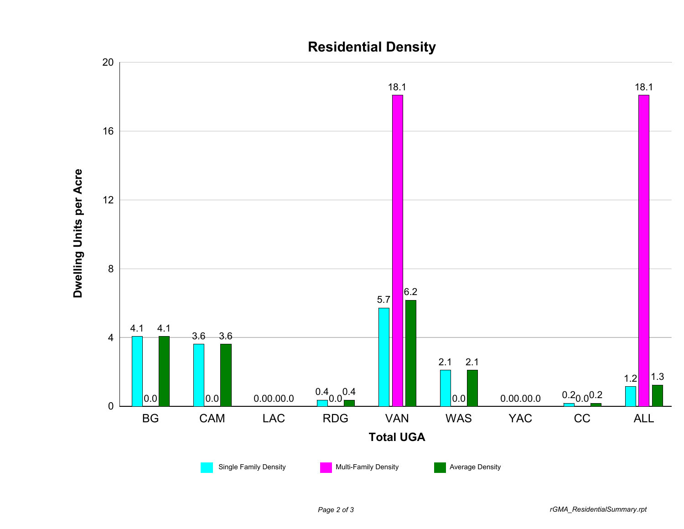

## **Residential Density**